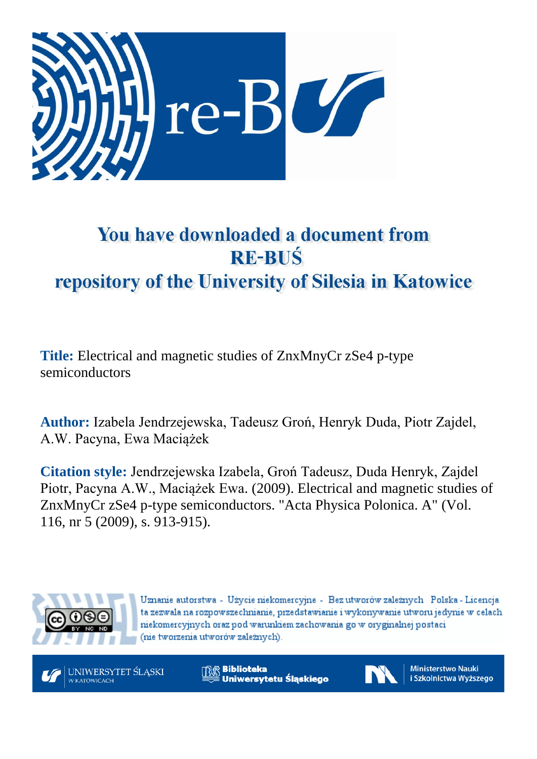

# You have downloaded a document from **RE-BUŚ** repository of the University of Silesia in Katowice

**Title:** Electrical and magnetic studies of ZnxMnyCr zSe4 p-type semiconductors

**Author:** Izabela Jendrzejewska, Tadeusz Groń, Henryk Duda, Piotr Zajdel, A.W. Pacyna, Ewa Maciążek

**Citation style:** Jendrzejewska Izabela, Groń Tadeusz, Duda Henryk, Zajdel Piotr, Pacyna A.W., Maciążek Ewa. (2009). Electrical and magnetic studies of ZnxMnyCr zSe4 p-type semiconductors. "Acta Physica Polonica. A" (Vol. 116, nr 5 (2009), s. 913-915).



Uznanie autorstwa - Użycie niekomercyjne - Bez utworów zależnych Polska - Licencja ta zezwala na rozpowszechnianie, przedstawianie i wykonywanie utworu jedynie w celach niekomercyjnych oraz pod warunkiem zachowania go w oryginalnej postaci (nie tworzenia utworów zależnych).



**Biblioteka** Uniwersytetu Śląskiego



**Ministerstwo Nauki** i Szkolnictwa Wyższego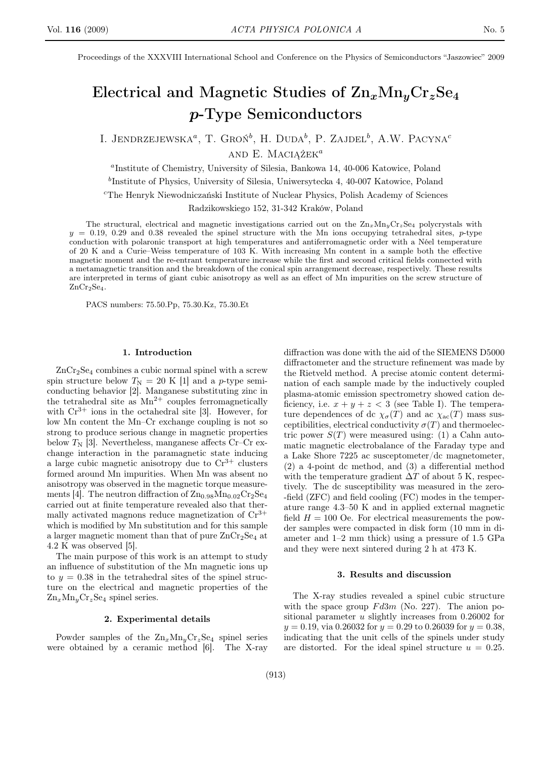Proceedings of the XXXVIII International School and Conference on the Physics of Semiconductors "Jaszowiec" 2009

## Electrical and Magnetic Studies of  $\rm Zn_xMn_yCr_zSe_4$ p-Type Semiconductors

I. JENDRZEJEWSKA<sup> $a$ </sup>, T. Groń<sup> $b$ </sup>, H. Duda<sup> $b$ </sup>, P. Zajdel<sup> $b$ </sup>, A.W. Pacyna<sup>c</sup> and E. Maciażek $^a$ 

a Institute of Chemistry, University of Silesia, Bankowa 14, 40-006 Katowice, Poland

b Institute of Physics, University of Silesia, Uniwersytecka 4, 40-007 Katowice, Poland

<sup>c</sup>The Henryk Niewodniczański Institute of Nuclear Physics, Polish Academy of Sciences

Radzikowskiego 152, 31-342 Kraków, Poland

The structural, electrical and magnetic investigations carried out on the  $Zn_xMn_yCr_zSe_4$  polycrystals with  $y = 0.19, 0.29$  and 0.38 revealed the spinel structure with the Mn ions occupying tetrahedral sites, p-type conduction with polaronic transport at high temperatures and antiferromagnetic order with a Néel temperature of 20 K and a Curie–Weiss temperature of 103 K. With increasing Mn content in a sample both the effective magnetic moment and the re-entrant temperature increase while the first and second critical fields connected with a metamagnetic transition and the breakdown of the conical spin arrangement decrease, respectively. These results are interpreted in terms of giant cubic anisotropy as well as an effect of Mn impurities on the screw structure of  $ZnCr<sub>2</sub>Se<sub>4</sub>$ .

PACS numbers: 75.50.Pp, 75.30.Kz, 75.30.Et

#### 1. Introduction

 $ZnCr<sub>2</sub>Se<sub>4</sub> combines a cubic normal spinel with a screw$ spin structure below  $T_N = 20$  K [1] and a p-type semiconducting behavior [2]. Manganese substituting zinc in the tetrahedral site as  $Mn^{2+}$  couples ferromagnetically with  $Cr^{3+}$  ions in the octahedral site [3]. However, for low Mn content the Mn–Cr exchange coupling is not so strong to produce serious change in magnetic properties below  $T_N$  [3]. Nevertheless, manganese affects Cr–Cr exchange interaction in the paramagnetic state inducing a large cubic magnetic anisotropy due to  $Cr^{3+}$  clusters formed around Mn impurities. When Mn was absent no anisotropy was observed in the magnetic torque measurements [4]. The neutron diffraction of  $\rm Zn_{0.98}Mn_{0.02}Cr_2Se_4$ carried out at finite temperature revealed also that thermally activated magnons reduce magnetization of  $\mathrm{Cr}^{3+}$ which is modified by Mn substitution and for this sample a larger magnetic moment than that of pure  $\text{ZnCr}_2\text{Se}_4$  at 4.2 K was observed [5].

The main purpose of this work is an attempt to study an influence of substitution of the Mn magnetic ions up to  $y = 0.38$  in the tetrahedral sites of the spinel structure on the electrical and magnetic properties of the  $\rm Zn_{\it x}\rm Mn_{\it y}\rm Cr_{\it z}\rm Se_4$  spinel series.

#### 2. Experimental details

Powder samples of the  $\text{Zn}_x\text{Mn}_y\text{Cr}_z\text{Se}_4$  spinel series were obtained by a ceramic method [6]. The X-ray

diffraction was done with the aid of the SIEMENS D5000 diffractometer and the structure refinement was made by the Rietveld method. A precise atomic content determination of each sample made by the inductively coupled plasma-atomic emission spectrometry showed cation deficiency, i.e.  $x + y + z < 3$  (see Table I). The temperature dependences of dc  $\chi_{\sigma}(T)$  and ac  $\chi_{\rm ac}(T)$  mass susceptibilities, electrical conductivity  $\sigma(T)$  and thermoelectric power  $S(T)$  were measured using: (1) a Cahn automatic magnetic electrobalance of the Faraday type and a Lake Shore 7225 ac susceptometer/dc magnetometer, (2) a 4-point dc method, and (3) a differential method with the temperature gradient  $\Delta T$  of about 5 K, respectively. The dc susceptibility was measured in the zero- -field (ZFC) and field cooling (FC) modes in the temperature range 4.3–50 K and in applied external magnetic field  $H = 100$  Oe. For electrical measurements the powder samples were compacted in disk form (10 mm in diameter and 1–2 mm thick) using a pressure of 1.5 GPa and they were next sintered during 2 h at 473 K.

#### 3. Results and discussion

The X-ray studies revealed a spinel cubic structure with the space group  $Fd3m$  (No. 227). The anion positional parameter u slightly increases from 0.26002 for  $y = 0.19$ , via 0.26032 for  $y = 0.29$  to 0.26039 for  $y = 0.38$ , indicating that the unit cells of the spinels under study are distorted. For the ideal spinel structure  $u = 0.25$ .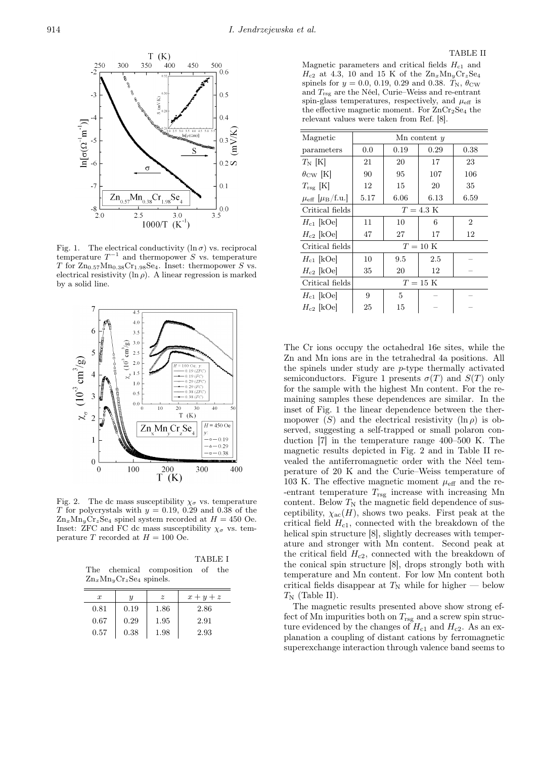

Fig. 1. The electrical conductivity  $(\ln \sigma)$  vs. reciprocal temperature  $T^{-1}$  and thermopower S vs. temperature T for  $\text{Zn}_{0.57}\text{Mn}_{0.38}\text{Cr}_{1.98}\text{Se}_4$ . Inset: thermopower S vs. electrical resistivity ( $\ln \rho$ ). A linear regression is marked by a solid line.



Fig. 2. The dc mass susceptibility  $\chi_{\sigma}$  vs. temperature T for polycrystals with  $y = 0.19, 0.29$  and 0.38 of the  $\text{Zn}_x\text{Mn}_y\text{Cr}_z\text{Se}_4$  spinel system recorded at  $H = 450$  Oe. Inset: ZFC and FC dc mass susceptibility  $\chi_{\sigma}$  vs. temperature T recorded at  $H = 100$  Oe.

TABLE I The chemical composition of the  $\text{Zn}_x\text{Mn}_y\text{Cr}_z\text{Se}_4$  spinels.

| $\boldsymbol{x}$ | и    | $\tilde{z}$ | $x + y + z$ |
|------------------|------|-------------|-------------|
| 0.81             | 0.19 | 1.86        | 2.86        |
| 0.67             | 0.29 | 1.95        | 2.91        |
| 0.57             | 0.38 | 1.98        | 2.93        |

Magnetic parameters and critical fields  $H_{c1}$  and  $H_{c2}$  at 4.3, 10 and 15 K of the  $\text{Zn}_x\text{Mn}_y\text{Cr}_z\text{Se}_4$ spinels for  $y = 0.0, 0.19, 0.29$  and 0.38.  $T_{\rm N}$ ,  $\theta_{\rm CW}$ and  $T_{\text{rsg}}$  are the Néel, Curie–Weiss and re-entrant spin-glass temperatures, respectively, and  $\mu_{\text{eff}}$  is the effective magnetic moment. For  $ZnCr<sub>2</sub>Se<sub>4</sub>$  the relevant values were taken from Ref. [8].

| Magnetic                                     | $Mn$ content $y$  |      |      |                |  |
|----------------------------------------------|-------------------|------|------|----------------|--|
| parameters                                   | 0.0               | 0.19 | 0.29 | 0.38           |  |
| $T_N$ [K]                                    | 21                | 20   | 17   | 23             |  |
| $\theta_{\rm CW}$ [K]                        | 90                | 95   | 107  | 106            |  |
| $T_{\rm rsg}$ [K]                            | 12                | 15   | 20   | 35             |  |
| $\mu_{\text{eff}}$ [ $\mu_{\text{B}}$ /f.u.] | 5.17              | 6.06 | 6.13 | 6.59           |  |
| Critical fields                              | $T = 4.3$ K       |      |      |                |  |
| $H_{c1}$ [kOe]                               | 11                | 10   | 6    | $\overline{2}$ |  |
| $H_{c2}$ [kOe]                               | 47                | 27   | 17   | 12             |  |
| Critical fields                              | $T=10~\mathrm{K}$ |      |      |                |  |
| $H_{c1}$ [kOe]                               | 10                | 9.5  | 2.5  |                |  |
| $H_{c2}$ [kOe]                               | 35                | 20   | 12   |                |  |
| Critical fields                              | $T = 15$ K        |      |      |                |  |
| $H_{c1}$ [kOe]                               | 9                 | 5    |      |                |  |
| $H_{c2}$ [kOe]                               | 25                | 15   |      |                |  |

The Cr ions occupy the octahedral 16e sites, while the Zn and Mn ions are in the tetrahedral 4a positions. All the spinels under study are p-type thermally activated semiconductors. Figure 1 presents  $\sigma(T)$  and  $S(T)$  only for the sample with the highest Mn content. For the remaining samples these dependences are similar. In the inset of Fig. 1 the linear dependence between the thermopower (S) and the electrical resistivity  $(\ln \rho)$  is observed, suggesting a self-trapped or small polaron conduction [7] in the temperature range 400–500 K. The magnetic results depicted in Fig. 2 and in Table II revealed the antiferromagnetic order with the Néel temperature of 20 K and the Curie–Weiss temperature of 103 K. The effective magnetic moment  $\mu_{\text{eff}}$  and the re--entrant temperature  $T_{\text{rsg}}$  increase with increasing Mn content. Below  $T_N$  the magnetic field dependence of susceptibility,  $\chi_{ac}(H)$ , shows two peaks. First peak at the critical field  $H_{c1}$ , connected with the breakdown of the helical spin structure [8], slightly decreases with temperature and stronger with Mn content. Second peak at the critical field  $H_{c2}$ , connected with the breakdown of the conical spin structure [8], drops strongly both with temperature and Mn content. For low Mn content both critical fields disappear at  $T_N$  while for higher — below  $T_N$  (Table II).

The magnetic results presented above show strong effect of Mn impurities both on  $T_{\text{rsg}}$  and a screw spin structure evidenced by the changes of  $H_{c1}$  and  $H_{c2}$ . As an explanation a coupling of distant cations by ferromagnetic superexchange interaction through valence band seems to